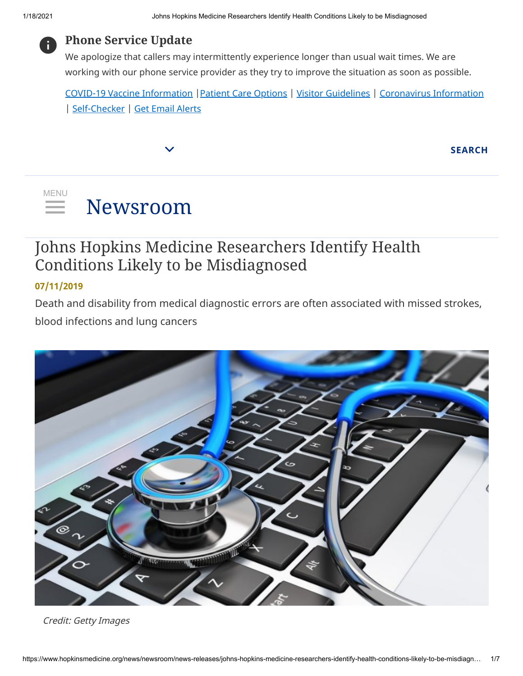

### **Phone Service Update**

We apologize that callers may intermittently experience longer than usual wait times. We are working with our phone service provider as they try to improve the situation as soon as possible.

[COVID-19 Vaccine Information](https://www.hopkinsmedicine.org/coronavirus/covid-19-vaccine/) [|Patient Care Options](https://www.hopkinsmedicine.org/coronavirus/for-johns-hopkins-patients.html) | [Visitor Guidelines](https://www.hopkinsmedicine.org/coronavirus/visitor-guidelines.html) | [Coronavirus Information](https://www.hopkinsmedicine.org/coronavirus/index.html) | [Self-Checker](https://www.hopkinsmedicine.org/coronavirus/covid-19-self-checker.html) | [Get Email Alerts](https://www.hopkinsmedicine.org/coronavirus/newsletter)

**SEARCH**

#### [Newsroom](https://www.hopkinsmedicine.org/news/newsroom/) MENU  $\equiv$

### Johns Hopkins Medicine Researchers Identify Health Conditions Likely to be Misdiagnosed

#### **07/11/2019**

Death and disability from medical diagnostic errors are often associated with missed strokes, blood infections and lung cancers



Credit: Getty Images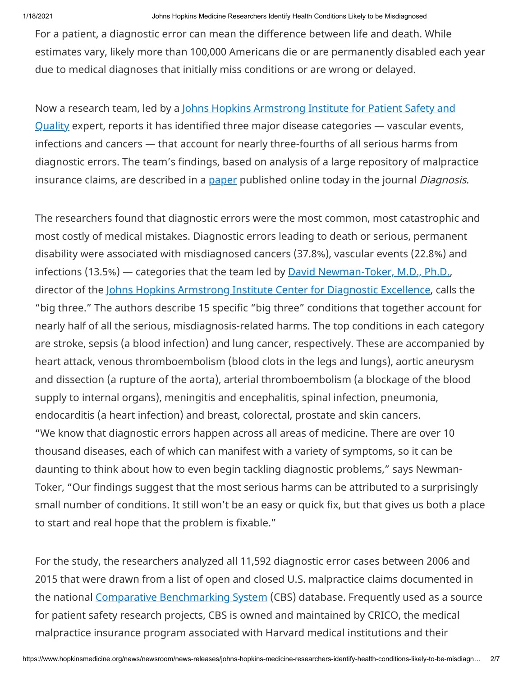For a patient, a diagnostic error can mean the difference between life and death. While estimates vary, likely more than 100,000 Americans die or are permanently disabled each year due to medical diagnoses that initially miss conditions or are wrong or delayed.

Now a research team, led by a Johns Hopkins Armstrong Institute for Patient Safety and Quality expert, reports it has identified three major disease categories - vascular events, infections and cancers — that account for nearly three-fourths of all serious harms from diagnostic errors. The team's findings, based on analysis of a large repository of malpractice insurance claims, are described in a [paper](https://www.degruyter.com/view/j/dx.ahead-of-print/dx-2019-0019/dx-2019-0019.xml) published online today in the journal *Diagnosis*.

The researchers found that diagnostic errors were the most common, most catastrophic and most costly of medical mistakes. Diagnostic errors leading to death or serious, permanent disability were associated with misdiagnosed cancers (37.8%), vascular events (22.8%) and infections (13.5%) — categories that the team led by [David Newman-Toker, M.D., Ph.D.,](https://www.hopkinsmedicine.org/profiles/results/directory/profile/0015937/david-newman-toker) director of the [Johns Hopkins Armstrong Institute Center for Diagnostic Excellence](https://www.hopkinsmedicine.org/armstrong_institute/centers/center_for_diagnostic_excellence/index.html), calls the "big three." The authors describe 15 specific "big three" conditions that together account for nearly half of all the serious, misdiagnosis-related harms. The top conditions in each category are stroke, sepsis (a blood infection) and lung cancer, respectively. These are accompanied by heart attack, venous thromboembolism (blood clots in the legs and lungs), aortic aneurysm and dissection (a rupture of the aorta), arterial thromboembolism (a blockage of the blood supply to internal organs), meningitis and encephalitis, spinal infection, pneumonia, endocarditis (a heart infection) and breast, colorectal, prostate and skin cancers. "We know that diagnostic errors happen across all areas of medicine. There are over 10 thousand diseases, each of which can manifest with a variety of symptoms, so it can be daunting to think about how to even begin tackling diagnostic problems," says Newman-Toker, "Our findings suggest that the most serious harms can be attributed to a surprisingly small number of conditions. It still won't be an easy or quick fix, but that gives us both a place to start and real hope that the problem is fixable."

For the study, the researchers analyzed all 11,592 diagnostic error cases between 2006 and 2015 that were drawn from a list of open and closed U.S. malpractice claims documented in the national [Comparative Benchmarking System](https://www.rmf.harvard.edu/Products-and-Services/CRICO-Strategies-Products-and-Services/CBS) (CBS) database. Frequently used as a source for patient safety research projects, CBS is owned and maintained by CRICO, the medical malpractice insurance program associated with Harvard medical institutions and their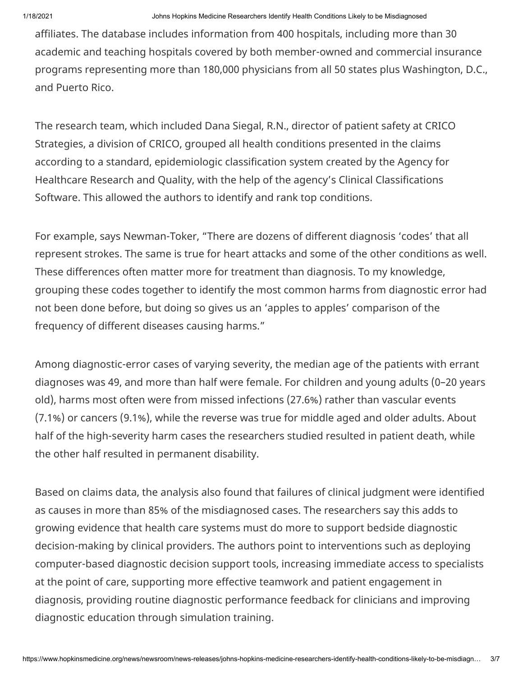affiliates. The database includes information from 400 hospitals, including more than 30 academic and teaching hospitals covered by both member-owned and commercial insurance programs representing more than 180,000 physicians from all 50 states plus Washington, D.C., and Puerto Rico.

The research team, which included Dana Siegal, R.N., director of patient safety at CRICO Strategies, a division of CRICO, grouped all health conditions presented in the claims according to a standard, epidemiologic classification system created by the Agency for Healthcare Research and Quality, with the help of the agency's Clinical Classifications Software. This allowed the authors to identify and rank top conditions.

For example, says Newman-Toker, "There are dozens of different diagnosis 'codes' that all represent strokes. The same is true for heart attacks and some of the other conditions as well. These differences often matter more for treatment than diagnosis. To my knowledge, grouping these codes together to identify the most common harms from diagnostic error had not been done before, but doing so gives us an 'apples to apples' comparison of the frequency of different diseases causing harms."

Among diagnostic-error cases of varying severity, the median age of the patients with errant diagnoses was 49, and more than half were female. For children and young adults (0–20 years old), harms most often were from missed infections (27.6%) rather than vascular events (7.1%) or cancers (9.1%), while the reverse was true for middle aged and older adults. About half of the high-severity harm cases the researchers studied resulted in patient death, while the other half resulted in permanent disability.

Based on claims data, the analysis also found that failures of clinical judgment were identified as causes in more than 85% of the misdiagnosed cases. The researchers say this adds to growing evidence that health care systems must do more to support bedside diagnostic decision-making by clinical providers. The authors point to interventions such as deploying computer-based diagnostic decision support tools, increasing immediate access to specialists at the point of care, supporting more effective teamwork and patient engagement in diagnosis, providing routine diagnostic performance feedback for clinicians and improving diagnostic education through simulation training.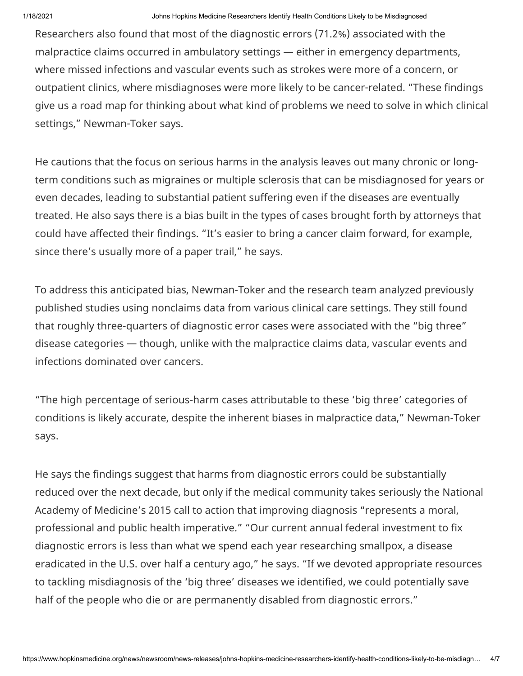Researchers also found that most of the diagnostic errors (71.2%) associated with the malpractice claims occurred in ambulatory settings — either in emergency departments, where missed infections and vascular events such as strokes were more of a concern, or outpatient clinics, where misdiagnoses were more likely to be cancer-related. "These findings give us a road map for thinking about what kind of problems we need to solve in which clinical settings," Newman-Toker says.

He cautions that the focus on serious harms in the analysis leaves out many chronic or longterm conditions such as migraines or multiple sclerosis that can be misdiagnosed for years or even decades, leading to substantial patient suffering even if the diseases are eventually treated. He also says there is a bias built in the types of cases brought forth by attorneys that could have affected their findings. "It's easier to bring a cancer claim forward, for example, since there's usually more of a paper trail," he says.

To address this anticipated bias, Newman-Toker and the research team analyzed previously published studies using nonclaims data from various clinical care settings. They still found that roughly three-quarters of diagnostic error cases were associated with the "big three" disease categories — though, unlike with the malpractice claims data, vascular events and infections dominated over cancers.

"The high percentage of serious-harm cases attributable to these 'big three' categories of conditions is likely accurate, despite the inherent biases in malpractice data," Newman-Toker says.

He says the findings suggest that harms from diagnostic errors could be substantially reduced over the next decade, but only if the medical community takes seriously the National Academy of Medicine's 2015 call to action that improving diagnosis "represents a moral, professional and public health imperative." "Our current annual federal investment to fix diagnostic errors is less than what we spend each year researching smallpox, a disease eradicated in the U.S. over half a century ago," he says. "If we devoted appropriate resources to tackling misdiagnosis of the 'big three' diseases we identified, we could potentially save half of the people who die or are permanently disabled from diagnostic errors."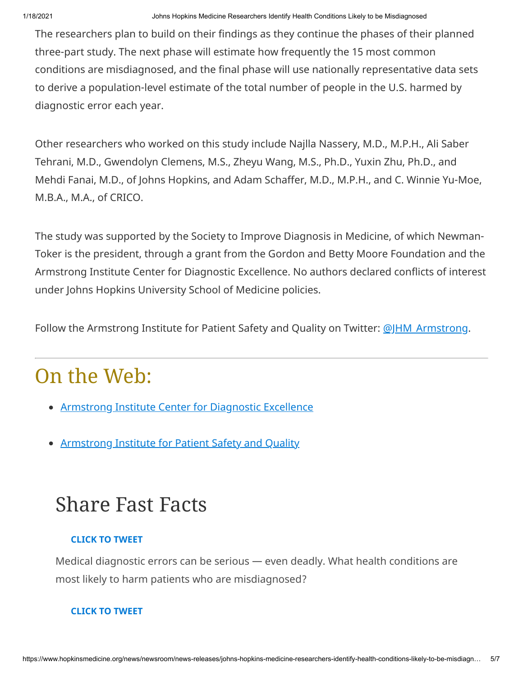The researchers plan to build on their findings as they continue the phases of their planned three-part study. The next phase will estimate how frequently the 15 most common conditions are misdiagnosed, and the final phase will use nationally representative data sets to derive a population-level estimate of the total number of people in the U.S. harmed by diagnostic error each year.

Other researchers who worked on this study include Najlla Nassery, M.D., M.P.H., Ali Saber Tehrani, M.D., Gwendolyn Clemens, M.S., Zheyu Wang, M.S., Ph.D., Yuxin Zhu, Ph.D., and Mehdi Fanai, M.D., of Johns Hopkins, and Adam Schaffer, M.D., M.P.H., and C. Winnie Yu-Moe, M.B.A., M.A., of CRICO.

The study was supported by the Society to Improve Diagnosis in Medicine, of which Newman-Toker is the president, through a grant from the Gordon and Betty Moore Foundation and the Armstrong Institute Center for Diagnostic Excellence. No authors declared conflicts of interest under Johns Hopkins University School of Medicine policies.

Follow the Armstrong Institute for Patient Safety and Quality on Twitter: @JHM Armstrong.

## On the Web:

- **[Armstrong Institute Center for Diagnostic Excellence](http://%20https//www.hopkinsmedicine.org/armstrong_institute/centers/center_for_diagnostic_excellence/index.html)**
- [Armstrong Institute for Patient Safety and Quality](https://www.hopkinsmedicine.org/armstrong_institute/)

## Share Fast Facts

#### **CLICK TO TWEET**

Medical diagnostic errors can be serious — even deadly. What health conditions are most likely to harm patients who are misdiagnosed?

#### **CLICK TO TWEET**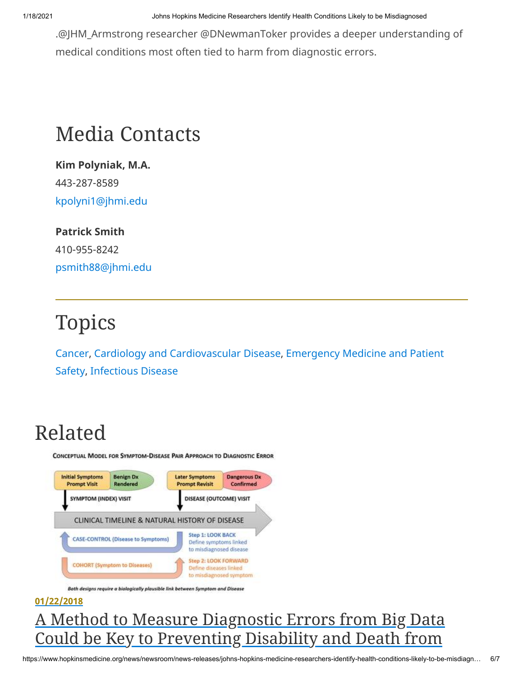1/18/2021 Johns Hopkins Medicine Researchers Identify Health Conditions Likely to be Misdiagnosed

.@JHM\_Armstrong researcher @DNewmanToker provides a deeper understanding of medical conditions most often tied to harm from diagnostic errors.

## Media Contacts

**Kim Polyniak, M.A.** 443-287-8589 [kpolyni1@jhmi.edu](mailto:kpolyni1@jhmi.edu)

**Patrick Smith** 410-955-8242 [psmith88@jhmi.edu](mailto:psmith88@jhmi.edu)

# Topics

[Cance](https://www.hopkinsmedicine.org/news/newsroom/news-releases/?topic=cancer)[r,](https://www.hopkinsmedicine.org/news/newsroom/news-releases/?topic=emergency-medicine-patient-safety) [Cardiology and Cardiovascular Disease](https://www.hopkinsmedicine.org/news/newsroom/news-releases/?topic=cardiology-cardiovascular-disease)[, Emergency Medicine and Patient](https://www.hopkinsmedicine.org/news/newsroom/news-releases/?topic=emergency-medicine-patient-safety) Safety, [Infectious Disease](https://www.hopkinsmedicine.org/news/newsroom/news-releases/?topic=infectious-disease)

# Related

CONCEPTUAL MODEL FOR SYMPTOM-DISEASE PAIR APPROACH TO DIAGNOSTIC ERROR



Both designs require a biologically plausible link between Symptom and Disease

#### **01/22/2018**

### [A Method to Measure Diagnostic Errors from Big Data](https://www.hopkinsmedicine.org/news/newsroom/news-releases/a-method-to-measure-diagnostic-errors-from-big-data-could-be-key-to-preventing-disability-and-death-from-misdiagnosis) Could be Key to Preventing Disability and Death from